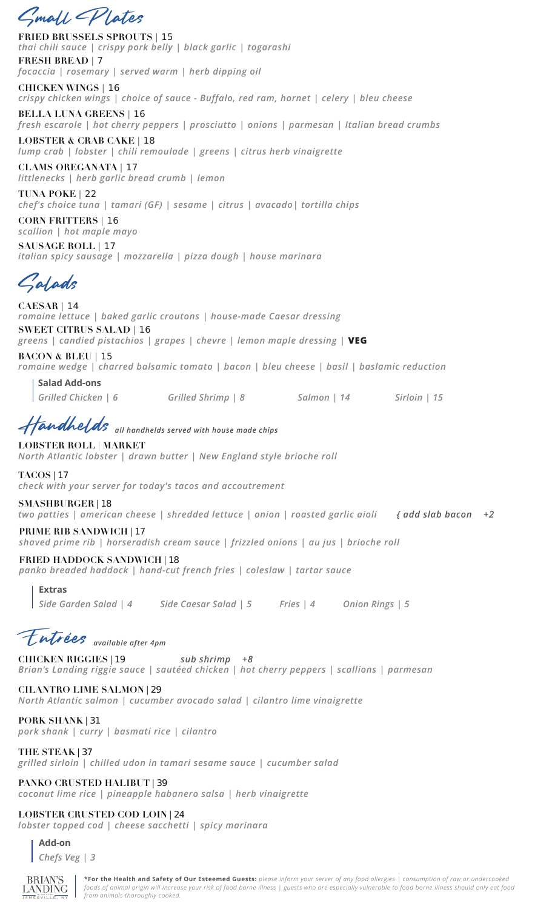Small P lates

**FRIED BRUSSELS SPROUTS** | **15** *thai chili sauce | crispy pork belly | black garlic | togarashi* **FRESH BREAD** | **7** *focaccia | rosemary | served warm | herb dipping oil*

**CHICKEN WINGS** | **16** *crispy chicken wings | choice of sauce - Buffalo, red ram, hornet | celery | bleu cheese*

**BELLA LUNA GREENS** | **16** *fresh escarole | hot cherry peppers | prosciutto | onions | parmesan | Italian bread crumbs*

**LOBSTER & CRAB CAKE** | **18** *lump crab | lobster | chili remoulade | greens | citrus herb vinaigrette*

**CLAMS OREGANATA** | **17** *littlenecks | herb garlic bread crumb | lemon* 

**TUNA POKE** | **22** *chef's choice tuna | tamari (GF) | sesame | citrus | avacado| tortilla chips*

**CORN FRITTERS** | **16** *scallion | hot maple mayo*

**SAUSAGE ROLL** | **17**

*italian spicy sausage | mozzarella | pizza dough | house marinara*

Salads

**CAESAR** | **14** *romaine lettuce | baked garlic croutons | house-made Caesar dressing* **SWEET CITRUS SALAD** | **16**

*greens | candied pistachios | grapes | chevre | lemon maple dressing |* **VEG**

**BACON & BLEU** | **15**

*romaine wedge | charred balsamic tomato | bacon | bleu cheese | basil | baslamic reduction*

**Salad Add-ons** *Grilled Chicken | 6 Grilled Shrimp | 8 Salmon | 14 Sirloin | 15*

# *AlandhelMS* all handhelds served with house made chips

#### **LOBSTER ROLL | MARKET**

*North Atlantic lobster | drawn butter | New England style brioche roll*

#### **TACOS** | **17**

*check with your server for today's tacos and accoutrement* 

#### **SMASHBURGER** | **18**

*two patties | american cheese | shredded lettuce | onion | roasted garlic aioli { add slab bacon +2* 

#### **PRIME RIB SANDWICH** | **17**

*shaved prime rib | horseradish cream sauce | frizzled onions | au jus | brioche roll*

#### **FRIED HADDOCK SANDWICH** | **18**

*panko breaded haddock | hand-cut french fries | coleslaw | tartar sauce*

**Extras**

*Side Garden Salad | 4 Side Caesar Salad | 5 Fries | 4 Onion Rings | 5* 

Entrées *available after 4pm*

**CHICKEN RIGGIES** | **19** *sub shrimp +8 Brian's Landing riggie sauce | sautéed chicken | hot cherry peppers | scallions | parmesan*

**CILANTRO LIME SALMON** | **29** *North Atlantic salmon | cucumber avocado salad | cilantro lime vinaigrette*

**PORK SHANK** | **31** *pork shank | curry | basmati rice | cilantro*

**THE STEAK** | **37** *grilled sirloin | chilled udon in tamari sesame sauce | cucumber salad*

### **PANKO CRUSTED HALIBUT** | **39**

*coconut lime rice | pineapple habanero salsa | herb vinaigrette*

**LOBSTER CRUSTED COD LOIN** | **24** *lobster topped cod | cheese sacchetti | spicy marinara*

## **Add-on**

*Chefs Veg | 3* 



**\*For the Health and Safety of Our Esteemed Guests:** *please inform your server of any food allergies | consumption of raw or undercooked foods of animal origin will increase your risk of food borne illness | guests who are especially vulnerable to food borne illness should only eat food from animals thoroughly cooked.*